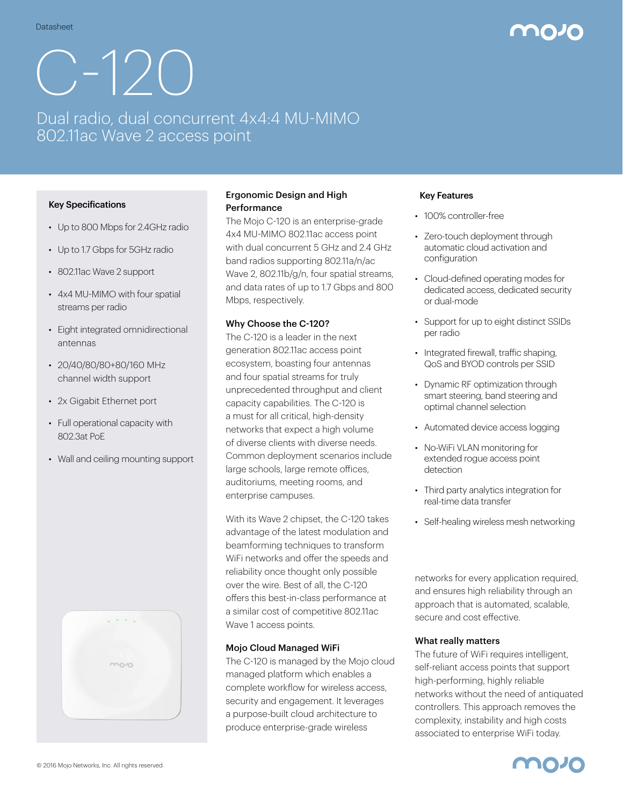# C-120

# Dual radio, dual concurrent 4x4:4 MU-MIMO 802.11ac Wave 2 access point

## Key Specifications

- Up to 800 Mbps for 2.4GHz radio
- Up to 1.7 Gbps for 5GHz radio
- 802.11ac Wave 2 support
- 4x4 MU-MIMO with four spatial streams per radio
- Eight integrated omnidirectional antennas
- 20/40/80/80+80/160 MHz channel width support
- 2x Gigabit Ethernet port
- Full operational capacity with 802.3at PoE
- Wall and ceiling mounting support



# Ergonomic Design and High **Performance**

The Mojo C-120 is an enterprise-grade 4x4 MU-MIMO 802.11ac access point with dual concurrent 5 GHz and 2.4 GHz band radios supporting 802.11a/n/ac Wave 2, 802.11b/g/n, four spatial streams, and data rates of up to 1.7 Gbps and 800 Mbps, respectively.

### Why Choose the C-120?

The C-120 is a leader in the next generation 802.11ac access point ecosystem, boasting four antennas and four spatial streams for truly unprecedented throughput and client capacity capabilities. The C-120 is a must for all critical, high-density networks that expect a high volume of diverse clients with diverse needs. Common deployment scenarios include large schools, large remote offices, auditoriums, meeting rooms, and enterprise campuses.

With its Wave 2 chipset, the C-120 takes advantage of the latest modulation and beamforming techniques to transform WiFi networks and offer the speeds and reliability once thought only possible over the wire. Best of all, the C-120 offers this best-in-class performance at a similar cost of competitive 802.11ac Wave 1 access points.

### Mojo Cloud Managed WiFi

The C-120 is managed by the Mojo cloud managed platform which enables a complete workflow for wireless access, security and engagement. It leverages a purpose-built cloud architecture to produce enterprise-grade wireless

### Key Features

- 100% controller-free
- Zero-touch deployment through automatic cloud activation and configuration
- Cloud-defined operating modes for dedicated access, dedicated security or dual-mode
- Support for up to eight distinct SSIDs per radio
- Integrated firewall, traffic shaping, QoS and BYOD controls per SSID
- Dynamic RF optimization through smart steering, band steering and optimal channel selection
- Automated device access logging
- No-WiFi VLAN monitoring for extended rogue access point detection
- Third party analytics integration for real-time data transfer
- Self-healing wireless mesh networking

networks for every application required, and ensures high reliability through an approach that is automated, scalable, secure and cost effective.

### What really matters

The future of WiFi requires intelligent, self-reliant access points that support high-performing, highly reliable networks without the need of antiquated controllers. This approach removes the complexity, instability and high costs associated to enterprise WiFi today.

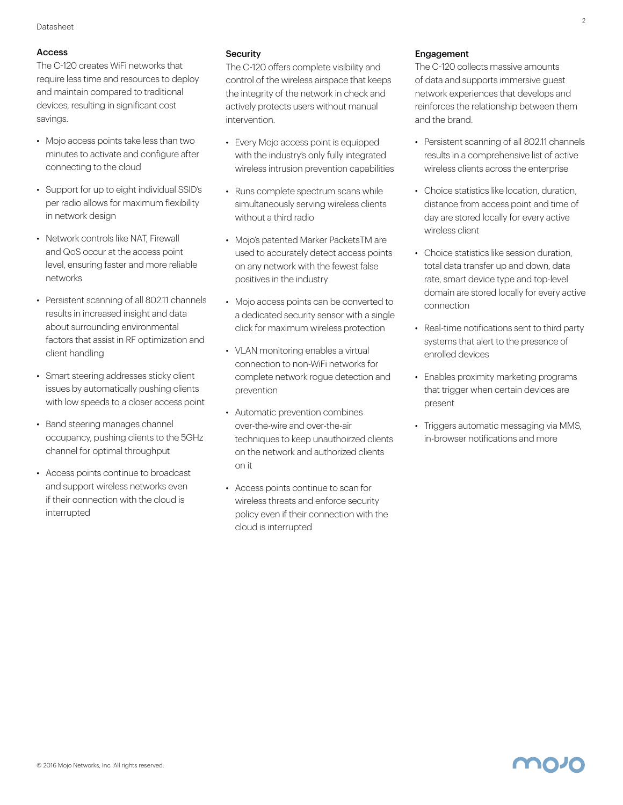## Access

The C-120 creates WiFi networks that require less time and resources to deploy and maintain compared to traditional devices, resulting in significant cost savings.

- Mojo access points take less than two minutes to activate and configure after connecting to the cloud
- Support for up to eight individual SSID's per radio allows for maximum flexibility in network design
- Network controls like NAT, Firewall and QoS occur at the access point level, ensuring faster and more reliable networks
- Persistent scanning of all 802.11 channels results in increased insight and data about surrounding environmental factors that assist in RF optimization and client handling
- Smart steering addresses sticky client issues by automatically pushing clients with low speeds to a closer access point
- Band steering manages channel occupancy, pushing clients to the 5GHz channel for optimal throughput
- Access points continue to broadcast and support wireless networks even if their connection with the cloud is interrupted

### **Security**

The C-120 offers complete visibility and control of the wireless airspace that keeps the integrity of the network in check and actively protects users without manual intervention.

- Every Moio access point is equipped with the industry's only fully integrated wireless intrusion prevention capabilities
- Runs complete spectrum scans while simultaneously serving wireless clients without a third radio
- Mojo's patented Marker PacketsTM are used to accurately detect access points on any network with the fewest false positives in the industry
- Mojo access points can be converted to a dedicated security sensor with a single click for maximum wireless protection
- VLAN monitoring enables a virtual connection to non-WiFi networks for complete network rogue detection and prevention
- Automatic prevention combines over-the-wire and over-the-air techniques to keep unauthoirzed clients on the network and authorized clients on it
- Access points continue to scan for wireless threats and enforce security policy even if their connection with the cloud is interrupted

### Engagement

The C-120 collects massive amounts of data and supports immersive guest network experiences that develops and reinforces the relationship between them and the brand.

- Persistent scanning of all 802.11 channels results in a comprehensive list of active wireless clients across the enterprise
- Choice statistics like location, duration, distance from access point and time of day are stored locally for every active wireless client
- Choice statistics like session duration, total data transfer up and down, data rate, smart device type and top-level domain are stored locally for every active connection
- Real-time notifications sent to third party systems that alert to the presence of enrolled devices
- Enables proximity marketing programs that trigger when certain devices are present
- Triggers automatic messaging via MMS, in-browser notifications and more